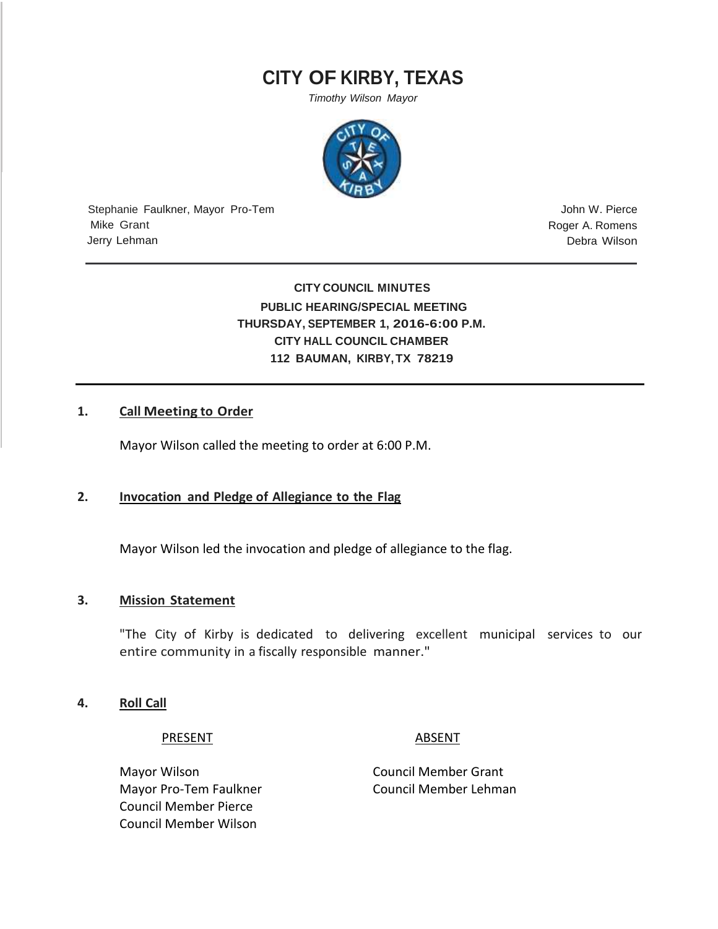# **CITY OF KIRBY, TEXAS**

*Timothy Wilson Mayor*



Stephanie Faulkner, Mayor Pro-Tem Mike Grant Jerry Lehman

John W. Pierce Roger A. Romens Debra Wilson

## **CITY COUNCIL MINUTES PUBLIC HEARING/SPECIAL MEETING THURSDAY, SEPTEMBER 1, 2016-6:00 P.M. CITY HALL COUNCIL CHAMBER 112 BAUMAN, KIRBY,TX 78219**

#### **1. Call Meeting to Order**

Mayor Wilson called the meeting to order at 6:00 P.M.

#### **2. Invocation and Pledge of Allegiance to the Flag**

Mayor Wilson led the invocation and pledge of allegiance to the flag.

### **3. Mission Statement**

"The City of Kirby is dedicated to delivering excellent municipal services to our entire community in a fiscally responsible manner."

**4. Roll Call**

PRESENT ABSENT

Mayor Wilson **Mayor Wilson** Council Member Grant Mayor Pro-Tem Faulkner Council Member Lehman Council Member Pierce Council Member Wilson